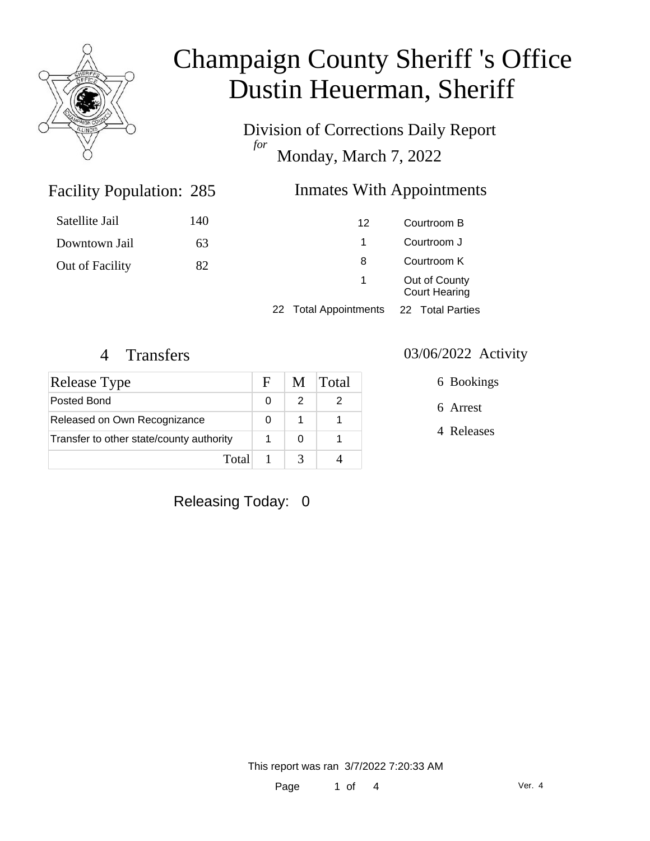

Division of Corrections Daily Report *for* Monday, March 7, 2022

### Inmates With Appointments

| Satellite Jail  | 140 | 12                    | Courtroom B                           |
|-----------------|-----|-----------------------|---------------------------------------|
| Downtown Jail   | 63  | Courtroom J           |                                       |
| Out of Facility | 82  | 8                     | Courtroom K                           |
|                 |     | $\sim$                | Out of County<br><b>Court Hearing</b> |
|                 |     | 22 Total Appointments | 22 Total Parties                      |

Facility Population: 285

| Release Type                             | $\mathbf{F}$ | M | <b>Total</b> |
|------------------------------------------|--------------|---|--------------|
| Posted Bond                              |              |   |              |
| Released on Own Recognizance             |              |   |              |
| Transfer to other state/county authority |              |   |              |
| Total                                    |              |   |              |

#### 4 Transfers 03/06/2022 Activity

6 Bookings

6 Arrest

4 Releases

Releasing Today: 0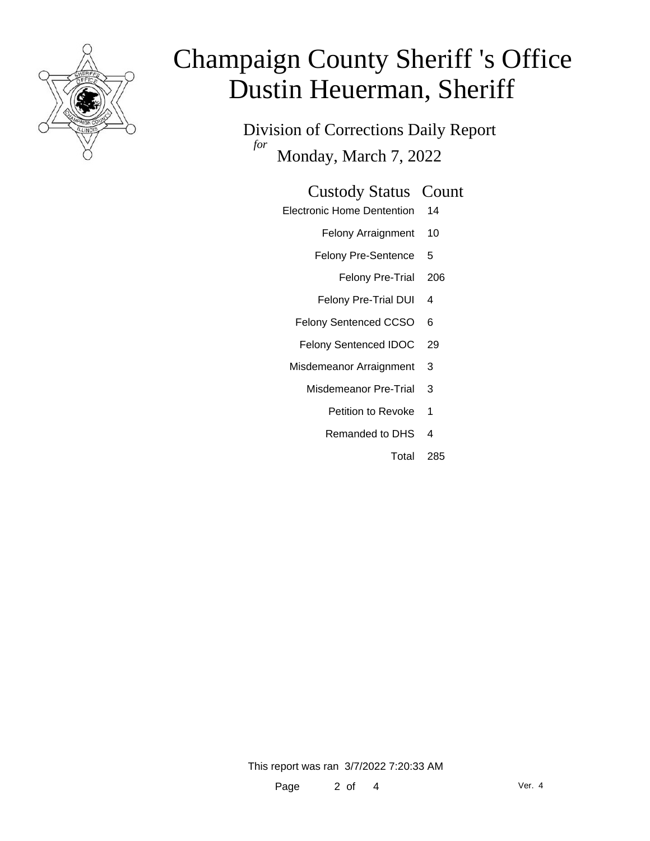

Division of Corrections Daily Report *for* Monday, March 7, 2022

#### Custody Status Count

- Electronic Home Dentention 14
	- Felony Arraignment 10
	- Felony Pre-Sentence 5
		- Felony Pre-Trial 206
	- Felony Pre-Trial DUI 4
	- Felony Sentenced CCSO 6
	- Felony Sentenced IDOC 29
	- Misdemeanor Arraignment 3
		- Misdemeanor Pre-Trial 3
			- Petition to Revoke 1
			- Remanded to DHS 4
				- Total 285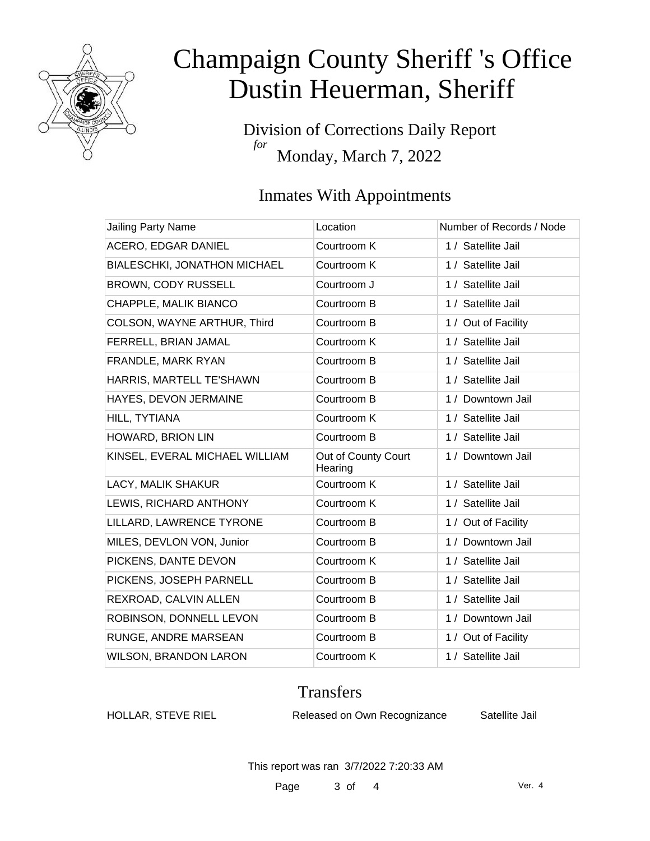

Division of Corrections Daily Report *for* Monday, March 7, 2022

## Inmates With Appointments

| <b>Jailing Party Name</b>      | Location                       | Number of Records / Node |
|--------------------------------|--------------------------------|--------------------------|
| ACERO, EDGAR DANIEL            | Courtroom K                    | 1 / Satellite Jail       |
| BIALESCHKI, JONATHON MICHAEL   | Courtroom K                    | 1 / Satellite Jail       |
| BROWN, CODY RUSSELL            | Courtroom J                    | 1 / Satellite Jail       |
| CHAPPLE, MALIK BIANCO          | Courtroom B                    | 1 / Satellite Jail       |
| COLSON, WAYNE ARTHUR, Third    | Courtroom B                    | 1 / Out of Facility      |
| FERRELL, BRIAN JAMAL           | Courtroom K                    | 1 / Satellite Jail       |
| FRANDLE, MARK RYAN             | Courtroom B                    | 1 / Satellite Jail       |
| HARRIS, MARTELL TE'SHAWN       | Courtroom B                    | 1 / Satellite Jail       |
| HAYES, DEVON JERMAINE          | Courtroom B                    | 1 / Downtown Jail        |
| HILL, TYTIANA                  | Courtroom K                    | 1 / Satellite Jail       |
| HOWARD, BRION LIN              | Courtroom B                    | 1 / Satellite Jail       |
| KINSEL, EVERAL MICHAEL WILLIAM | Out of County Court<br>Hearing | 1 / Downtown Jail        |
| LACY, MALIK SHAKUR             | Courtroom K                    | 1 / Satellite Jail       |
| LEWIS, RICHARD ANTHONY         | Courtroom K                    | 1 / Satellite Jail       |
| LILLARD, LAWRENCE TYRONE       | Courtroom B                    | 1 / Out of Facility      |
| MILES, DEVLON VON, Junior      | Courtroom B                    | 1 / Downtown Jail        |
| PICKENS, DANTE DEVON           | Courtroom K                    | 1 / Satellite Jail       |
| PICKENS, JOSEPH PARNELL        | Courtroom B                    | 1 / Satellite Jail       |
| REXROAD, CALVIN ALLEN          | Courtroom B                    | 1 / Satellite Jail       |
| ROBINSON, DONNELL LEVON        | Courtroom B                    | 1 / Downtown Jail        |
| RUNGE, ANDRE MARSEAN           | Courtroom B                    | 1 / Out of Facility      |
| <b>WILSON, BRANDON LARON</b>   | Courtroom K                    | 1 / Satellite Jail       |

### **Transfers**

HOLLAR, STEVE RIEL Released on Own Recognizance Satellite Jail